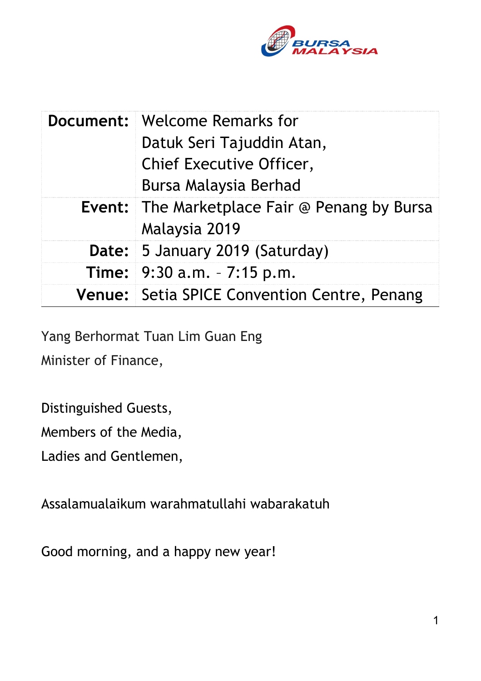

| <b>Document: Welcome Remarks for</b><br>Datuk Seri Tajuddin Atan,<br>Chief Executive Officer,<br>Bursa Malaysia Berhad |
|------------------------------------------------------------------------------------------------------------------------|
| <b>Event:</b> The Marketplace Fair @ Penang by Bursa<br>Malaysia 2019                                                  |
| Date: 5 January 2019 (Saturday)                                                                                        |
| <b>Time:</b> $9:30$ a.m. $-7:15$ p.m.                                                                                  |
| Venue: Setia SPICE Convention Centre, Penang                                                                           |

Yang Berhormat Tuan Lim Guan Eng

Minister of Finance,

Distinguished Guests,

Members of the Media,

Ladies and Gentlemen,

Assalamualaikum warahmatullahi wabarakatuh

Good morning, and a happy new year!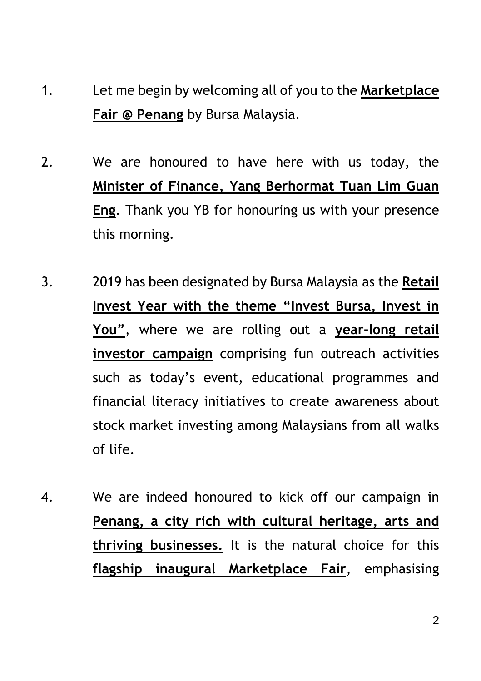- 1. Let me begin by welcoming all of you to the **Marketplace Fair @ Penang** by Bursa Malaysia.
- 2. We are honoured to have here with us today, the **Minister of Finance, Yang Berhormat Tuan Lim Guan Eng**. Thank you YB for honouring us with your presence this morning.
- 3. 2019 has been designated by Bursa Malaysia as the **Retail Invest Year with the theme "Invest Bursa, Invest in You"**, where we are rolling out a **year-long retail investor campaign** comprising fun outreach activities such as today's event, educational programmes and financial literacy initiatives to create awareness about stock market investing among Malaysians from all walks of life.
- 4. We are indeed honoured to kick off our campaign in **Penang, a city rich with cultural heritage, arts and thriving businesses.** It is the natural choice for this **flagship inaugural Marketplace Fair**, emphasising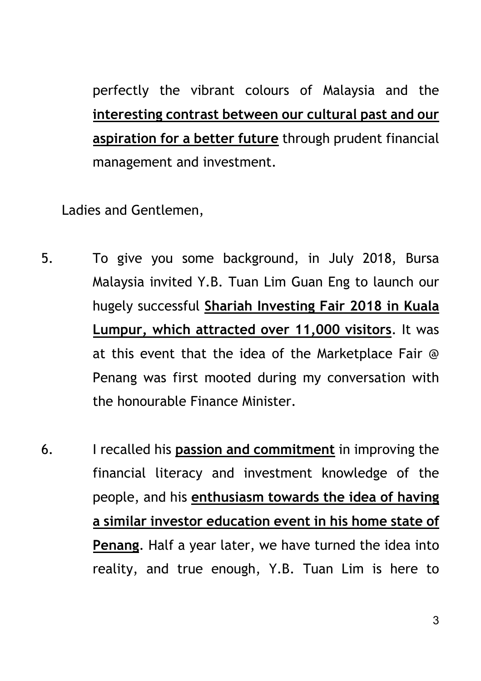perfectly the vibrant colours of Malaysia and the **interesting contrast between our cultural past and our aspiration for a better future** through prudent financial management and investment.

Ladies and Gentlemen,

- 5. To give you some background, in July 2018, Bursa Malaysia invited Y.B. Tuan Lim Guan Eng to launch our hugely successful **Shariah Investing Fair 2018 in Kuala Lumpur, which attracted over 11,000 visitors**. It was at this event that the idea of the Marketplace Fair @ Penang was first mooted during my conversation with the honourable Finance Minister.
- 6. I recalled his **passion and commitment** in improving the financial literacy and investment knowledge of the people, and his **enthusiasm towards the idea of having a similar investor education event in his home state of Penang**. Half a year later, we have turned the idea into reality, and true enough, Y.B. Tuan Lim is here to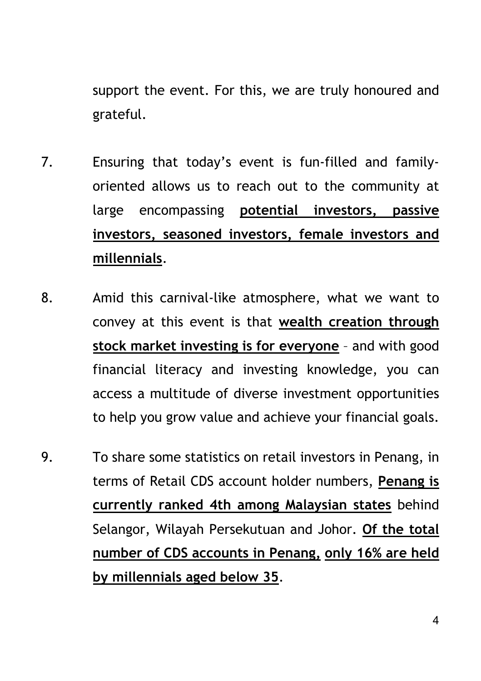support the event. For this, we are truly honoured and grateful.

- 7. Ensuring that today's event is fun-filled and familyoriented allows us to reach out to the community at large encompassing **potential investors, passive investors, seasoned investors, female investors and millennials**.
- 8. Amid this carnival-like atmosphere, what we want to convey at this event is that **wealth creation through stock market investing is for everyone** – and with good financial literacy and investing knowledge, you can access a multitude of diverse investment opportunities to help you grow value and achieve your financial goals.
- 9. To share some statistics on retail investors in Penang, in terms of Retail CDS account holder numbers, **Penang is currently ranked 4th among Malaysian states** behind Selangor, Wilayah Persekutuan and Johor. **Of the total number of CDS accounts in Penang, only 16% are held by millennials aged below 35**.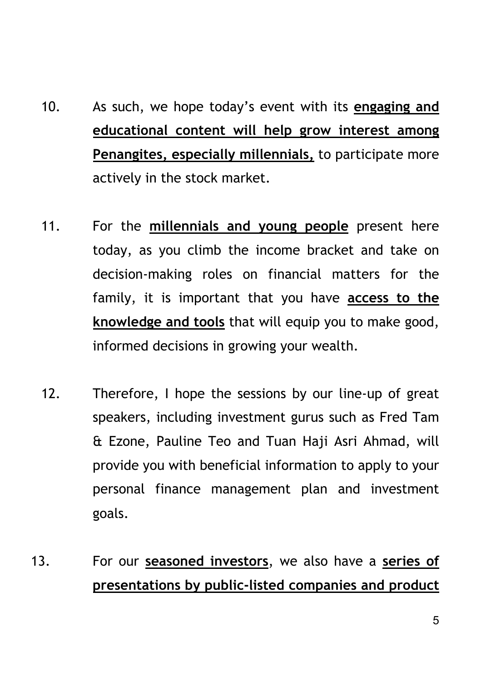- 10. As such, we hope today's event with its **engaging and educational content will help grow interest among Penangites, especially millennials,** to participate more actively in the stock market.
- 11. For the **millennials and young people** present here today, as you climb the income bracket and take on decision-making roles on financial matters for the family, it is important that you have **access to the knowledge and tools** that will equip you to make good, informed decisions in growing your wealth.
- 12. Therefore, I hope the sessions by our line-up of great speakers, including investment gurus such as Fred Tam & Ezone, Pauline Teo and Tuan Haji Asri Ahmad, will provide you with beneficial information to apply to your personal finance management plan and investment goals.
- 13. For our **seasoned investors**, we also have a **series of presentations by public-listed companies and product**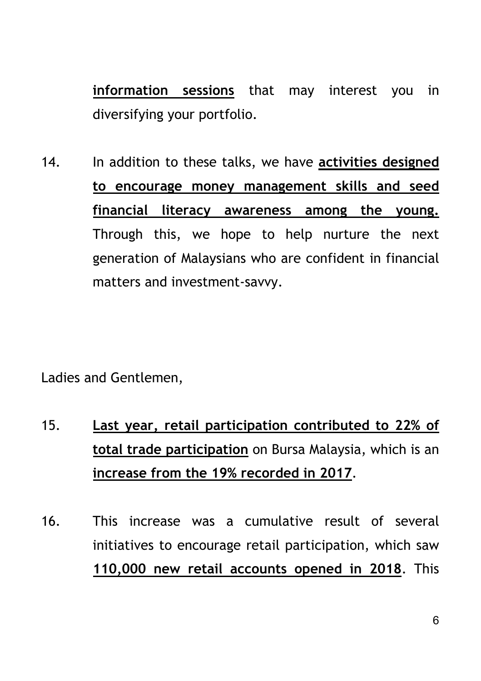**information sessions** that may interest you in diversifying your portfolio.

14. In addition to these talks, we have **activities designed to encourage money management skills and seed financial literacy awareness among the young.** Through this, we hope to help nurture the next generation of Malaysians who are confident in financial matters and investment-savvy.

Ladies and Gentlemen,

- 15. **Last year, retail participation contributed to 22% of total trade participation** on Bursa Malaysia, which is an **increase from the 19% recorded in 2017**.
- 16. This increase was a cumulative result of several initiatives to encourage retail participation, which saw **110,000 new retail accounts opened in 2018**. This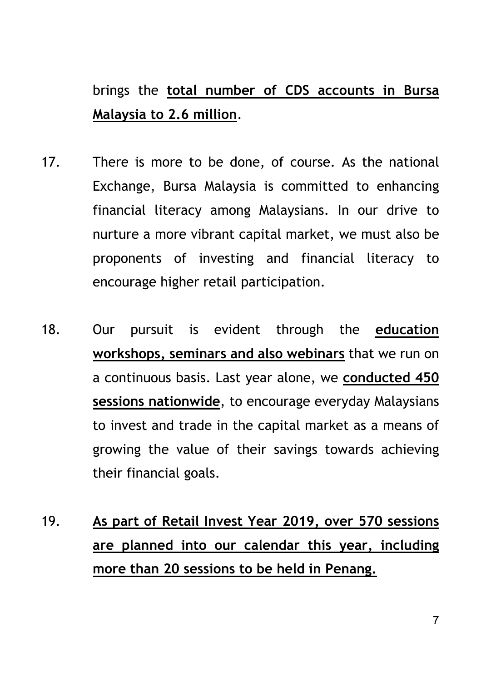## brings the **total number of CDS accounts in Bursa Malaysia to 2.6 million**.

- 17. There is more to be done, of course. As the national Exchange, Bursa Malaysia is committed to enhancing financial literacy among Malaysians. In our drive to nurture a more vibrant capital market, we must also be proponents of investing and financial literacy to encourage higher retail participation.
- 18. Our pursuit is evident through the **education workshops, seminars and also webinars** that we run on a continuous basis. Last year alone, we **conducted 450 sessions nationwide**, to encourage everyday Malaysians to invest and trade in the capital market as a means of growing the value of their savings towards achieving their financial goals.
- 19. **As part of Retail Invest Year 2019, over 570 sessions are planned into our calendar this year, including more than 20 sessions to be held in Penang.**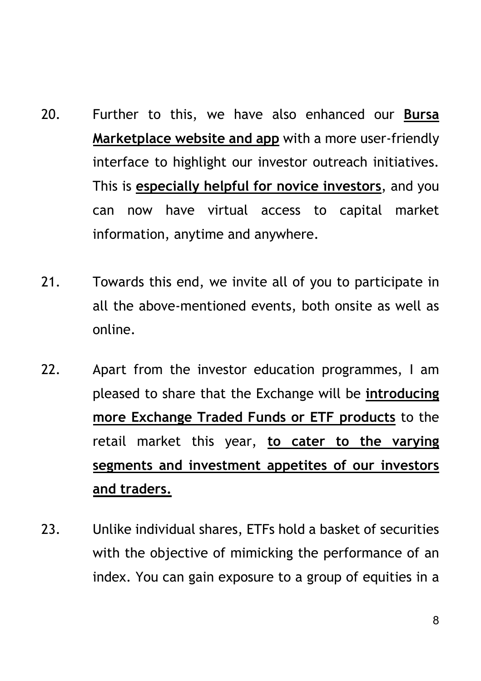- 20. Further to this, we have also enhanced our **Bursa Marketplace website and app** with a more user-friendly interface to highlight our investor outreach initiatives. This is **especially helpful for novice investors**, and you can now have virtual access to capital market information, anytime and anywhere.
- 21. Towards this end, we invite all of you to participate in all the above-mentioned events, both onsite as well as online.
- 22. Apart from the investor education programmes, I am pleased to share that the Exchange will be **introducing more Exchange Traded Funds or ETF products** to the retail market this year, **to cater to the varying segments and investment appetites of our investors and traders.**
- 23. Unlike individual shares, ETFs hold a basket of securities with the objective of mimicking the performance of an index. You can gain exposure to a group of equities in a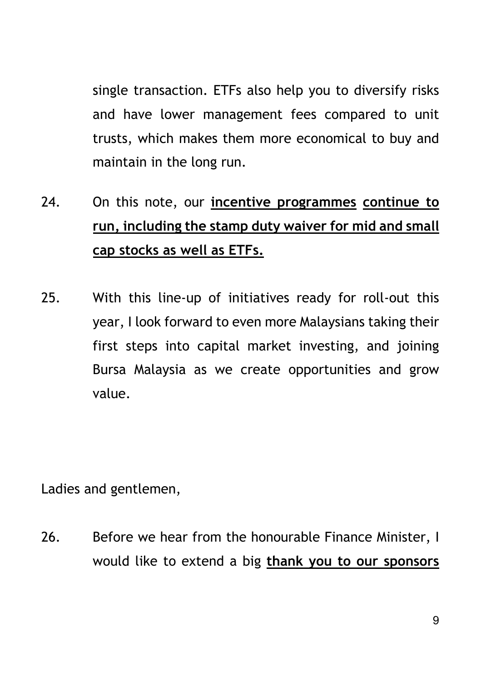single transaction. ETFs also help you to diversify risks and have lower management fees compared to unit trusts, which makes them more economical to buy and maintain in the long run.

- 24. On this note, our **incentive programmes continue to run, including the stamp duty waiver for mid and small cap stocks as well as ETFs.**
- 25. With this line-up of initiatives ready for roll-out this year, I look forward to even more Malaysians taking their first steps into capital market investing, and joining Bursa Malaysia as we create opportunities and grow value.

Ladies and gentlemen,

26. Before we hear from the honourable Finance Minister, I would like to extend a big **thank you to our sponsors**